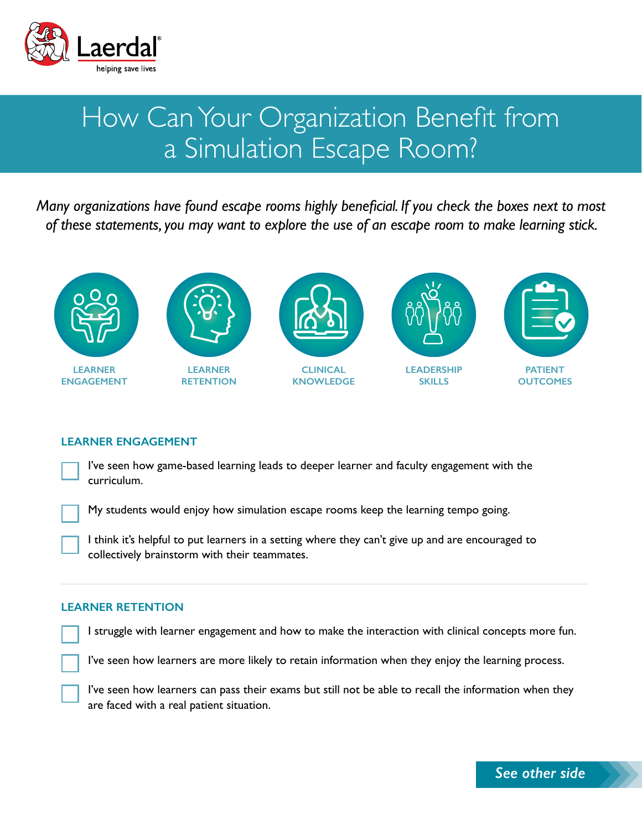

# How Can Your Organization Benefit from a Simulation Escape Room?

*Many organizations have found escape rooms highly beneficial. If you check the boxes next to most of these statements, you may want to explore the use of an escape room to make learning stick.*



**LEARNER ENGAGEMENT**



**LEARNER RETENTION**



**CLINICAL KNOWLEDGE**



**LEADERSHIP SKILLS**



## **LEARNER ENGAGEMENT**

I've seen how game-based learning leads to deeper learner and faculty engagement with the curriculum.

My students would enjoy how simulation escape rooms keep the learning tempo going.

I think it's helpful to put learners in a setting where they can't give up and are encouraged to collectively brainstorm with their teammates.

### **LEARNER RETENTION**

I struggle with learner engagement and how to make the interaction with clinical concepts more fun.

I've seen how learners are more likely to retain information when they enjoy the learning process.

I've seen how learners can pass their exams but still not be able to recall the information when they are faced with a real patient situation.